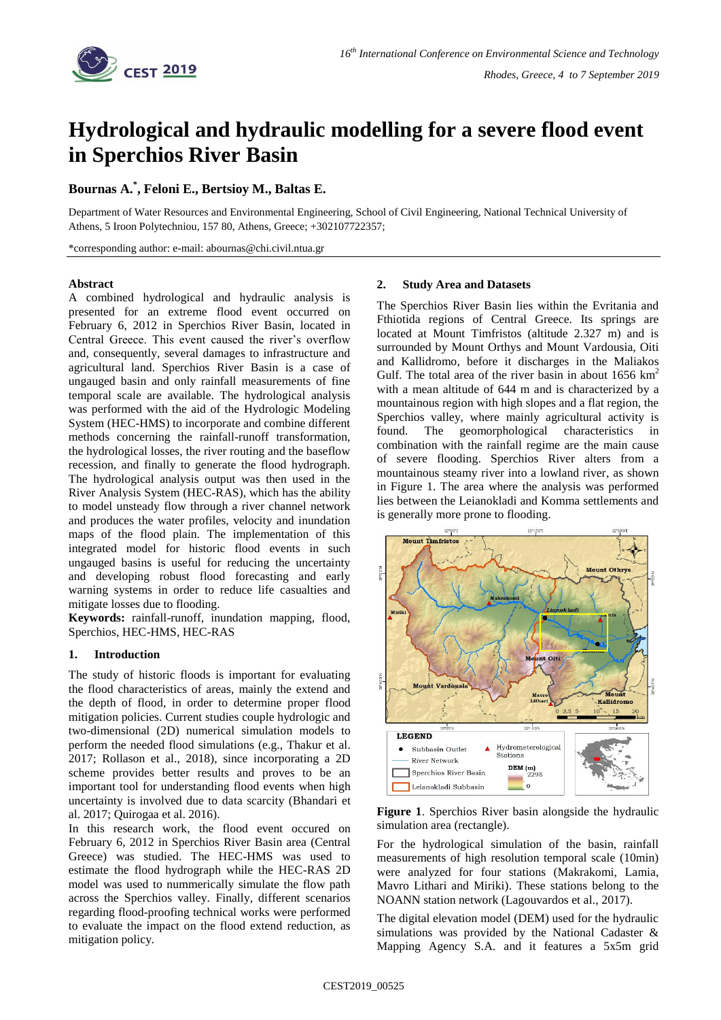

# **Hydrological and hydraulic modelling for a severe flood event in Sperchios River Basin**

# **Bournas A.\* , Feloni E., Bertsioy M., Baltas E.**

Department of Water Resources and Environmental Engineering, School of Civil Engineering, National Technical University of Athens, 5 Iroon Polytechniou, 157 80, Athens, Greece; +302107722357;

\*corresponding author: e-mail: abournas@chi.civil.ntua.gr

## **Abstract**

A combined hydrological and hydraulic analysis is presented for an extreme flood event occurred on February 6, 2012 in Sperchios River Basin, located in Central Greece. This event caused the river's overflow and, consequently, several damages to infrastructure and agricultural land. Sperchios River Basin is a case of ungauged basin and only rainfall measurements of fine temporal scale are available. The hydrological analysis was performed with the aid of the Hydrologic Modeling System (HEC-HMS) to incorporate and combine different methods concerning the rainfall-runoff transformation, the hydrological losses, the river routing and the baseflow recession, and finally to generate the flood hydrograph. The hydrological analysis output was then used in the River Analysis System (HEC-RAS), which has the ability to model unsteady flow through a river channel network and produces the water profiles, velocity and inundation maps of the flood plain. The implementation of this integrated model for historic flood events in such ungauged basins is useful for reducing the uncertainty and developing robust flood forecasting and early warning systems in order to reduce life casualties and mitigate losses due to flooding.

**Keywords:** rainfall-runoff, inundation mapping, flood, Sperchios, HEC-HMS, HEC-RAS

## **1. Introduction**

The study of historic floods is important for evaluating the flood characteristics of areas, mainly the extend and the depth of flood, in order to determine proper flood mitigation policies. Current studies couple hydrologic and two-dimensional (2D) numerical simulation models to perform the needed flood simulations (e.g., Thakur et al. 2017; Rollason et al., 2018), since incorporating a 2D scheme provides better results and proves to be an important tool for understanding flood events when high uncertainty is involved due to data scarcity (Bhandari et al. 2017; Quirogaa et al. 2016).

In this research work, the flood event occured on February 6, 2012 in Sperchios River Basin area (Central Greece) was studied. The HEC-HMS was used to estimate the flood hydrograph while the HEC-RAS 2D model was used to nummerically simulate the flow path across the Sperchios valley. Finally, different scenarios regarding flood-proofing technical works were performed to evaluate the impact on the flood extend reduction, as mitigation policy.

#### **2. Study Area and Datasets**

The Sperchios River Basin lies within the Evritania and Fthiotida regions of Central Greece. Its springs are located at Mount Timfristos (altitude 2.327 m) and is surrounded by Mount Orthys and Mount Vardousia, Oiti and Kallidromo, before it discharges in the Maliakos Gulf. The total area of the river basin in about  $1656 \text{ km}^2$ with a mean altitude of 644 m and is characterized by a mountainous region with high slopes and a flat region, the Sperchios valley, where mainly agricultural activity is found. The geomorphological characteristics in combination with the rainfall regime are the main cause of severe flooding. Sperchios River alters from a mountainous steamy river into a lowland river, as shown in Figure 1. The area where the analysis was performed lies between the Leianokladi and Komma settlements and is generally more prone to flooding.



**Figure 1**. Sperchios River basin alongside the hydraulic simulation area (rectangle).

For the hydrological simulation of the basin, rainfall measurements of high resolution temporal scale (10min) were analyzed for four stations (Makrakomi, Lamia, Mavro Lithari and Miriki). These stations belong to the NOANN station network (Lagouvardos et al., 2017).

The digital elevation model (DEM) used for the hydraulic simulations was provided by the National Cadaster & Mapping Agency S.A. and it features a 5x5m grid